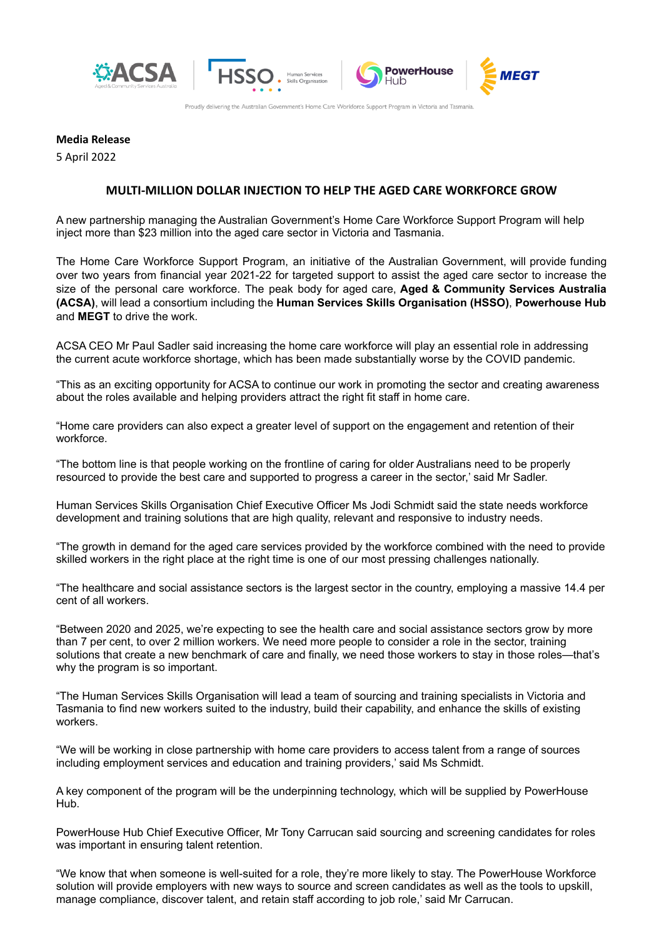



Proudly delivering the Australian Government's Home Care Workforce Support Program in Victoria and Tasmania.

n Service:

# **Media Release**

5 April 2022

### **MULTI-MILLION DOLLAR INJECTION TO HELP THE AGED CARE WORKFORCE GROW**

A new partnership managing the Australian Government's Home Care Workforce Support Program will help inject more than \$23 million into the aged care sector in Victoria and Tasmania.

The Home Care Workforce Support Program, an initiative of the Australian Government, will provide funding over two years from financial year 2021-22 for targeted support to assist the aged care sector to increase the size of the personal care workforce. The peak body for aged care, **Aged & Community Services Australia (ACSA)**, will lead a consortium including the **Human Services Skills Organisation (HSSO)**, **Powerhouse Hub** and **MEGT** to drive the work.

ACSA CEO Mr Paul Sadler said increasing the home care workforce will play an essential role in addressing the current acute workforce shortage, which has been made substantially worse by the COVID pandemic.

"This as an exciting opportunity for ACSA to continue our work in promoting the sector and creating awareness about the roles available and helping providers attract the right fit staff in home care.

"Home care providers can also expect a greater level of support on the engagement and retention of their workforce.

"The bottom line is that people working on the frontline of caring for older Australians need to be properly resourced to provide the best care and supported to progress a career in the sector,' said Mr Sadler.

Human Services Skills Organisation Chief Executive Officer Ms Jodi Schmidt said the state needs workforce development and training solutions that are high quality, relevant and responsive to industry needs.

"The growth in demand for the aged care services provided by the workforce combined with the need to provide skilled workers in the right place at the right time is one of our most pressing challenges nationally.

"The healthcare and social assistance sectors is the largest sector in the country, employing a massive 14.4 per cent of all workers.

"Between 2020 and 2025, we're expecting to see the health care and social assistance sectors grow by more than 7 per cent, to over 2 million workers. We need more people to consider a role in the sector, training solutions that create a new benchmark of care and finally, we need those workers to stay in those roles—that's why the program is so important.

"The Human Services Skills Organisation will lead a team of sourcing and training specialists in Victoria and Tasmania to find new workers suited to the industry, build their capability, and enhance the skills of existing workers.

"We will be working in close partnership with home care providers to access talent from a range of sources including employment services and education and training providers,' said Ms Schmidt.

A key component of the program will be the underpinning technology, which will be supplied by PowerHouse Hub.

PowerHouse Hub Chief Executive Officer, Mr Tony Carrucan said sourcing and screening candidates for roles was important in ensuring talent retention.

"We know that when someone is well-suited for a role, they're more likely to stay. The PowerHouse Workforce solution will provide employers with new ways to source and screen candidates as well as the tools to upskill, manage compliance, discover talent, and retain staff according to job role,' said Mr Carrucan.